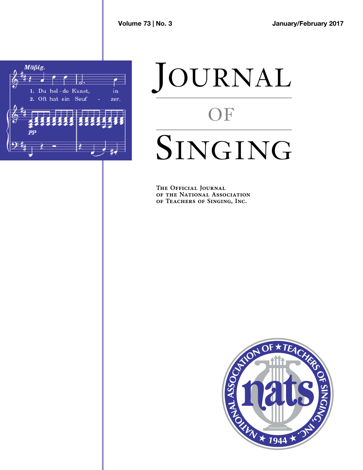

## JOURNAL OF SINGING

**The Official Journal T H E O F F I C I A L JO U R N A L of the National Association of Teachers of Singing, Inc. O F T H E NAT I O N A L AS S O C IAT I O N**

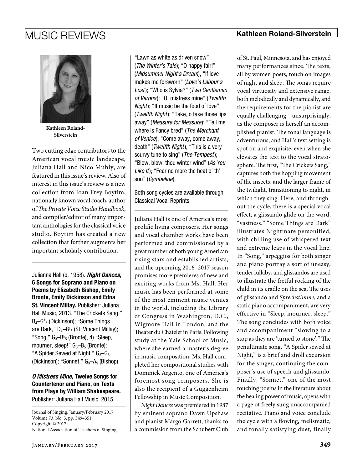

**Kathleen Roland-Silverstein**

Two cutting edge contributors to the American vocal music landscape, Juliana Hall and Nico Muhly, are featured in this issue's review. Also of interest in this issue's review is a new collection from Joan Frey Boytim, nationally known vocal coach, author of *The Private Voice Studio Handbook*, and compiler/editor of many important anthologies for the classical voice studio. Boytim has created a new collection that further augments her important scholarly contribution.

Julianna Hall (b. 1958). *Night Dances,*  6 Songs for Soprano and Piano on Poems by Elizabeth Bishop, Emily Bronte, Emily Dickinson and Edna St. Vincent Millay. Publisher: Juliana Hall Music, 2013. "The Crickets Sang," B4–G# 5 (Dickinson); "Some Things are Dark," D<sub>4</sub>–B<sup> $\flat$ </sup><sub>5</sub> (St. Vincent Millay); "Song,"  $G_3$ -B $b_5$  (Bronte), 4) "Sleep, mourner, sleep!"  $G_3 - B_5$  (Bronte); "A Spider Sewed at Night,"  $G_3-G_5$ (Dickinson); "Sonnet,"  $G_3-A_5$  (Bishop).

## *O Mistress Mine,* Twelve Songs for Countertenor and Piano, on Texts from Plays by William Shakespeare. Publisher: Juliana Hall Music, 2015.

Journal of Singing, January/February 2017 Volume 73, No. 3, pp. 349–351 Copyright © 2017 National Association of Teachers of Singing

"Lawn as white as driven snow" (*The Winter's Tale*); "O happy fair!" (*Midsummer Night's Dream*); "If love makes me forsworn" (*Love's Labour's Lost* ); "Who is Sylvia?" (*Two Gentlemen of Verona* ); "O, mistress mine" (*Twelfth Night*); "If music be the food of love" (*Twelfth Night* ); "Take, o take those lips away" (*Measure for Measure*); "Tell me where is Fancy bred" (*The Merchant of Venice*); "Come away, come away, death" (*Twelfth Night* ); "This is a very scurvy tune to sing" (*The Tempest* ); "Blow, blow, thou winter wind" (*As You*  Like It); "Fear no more the heat o' th' sun" (*Cymbeline*).

Both song cycles are available through Classical Vocal Reprints.

Juliana Hall is one of America's most prolific living composers. Her songs and vocal chamber works have been performed and commissioned by a great number of both young American rising stars and established artists, and the upcoming 2016–2017 season promises more premieres of new and exciting works from Ms. Hall. Her music has been performed at some of the most eminent music venues in the world, including the Library of Congress in Washington, D.C., Wigmore Hall in London, and the Theater du Chatelet in Paris. Following study at the Yale School of Music, where she earned a master's degree in music composition, Ms. Hall completed her compositional studies with Dominick Argento, one of America's foremost song composers. She is also the recipient of a Guggenheim Fellowship in Music Composition.

*Night Dances* was premiered in 1987 by eminent soprano Dawn Upshaw and pianist Margo Garrett, thanks to a commission from the Schubert Club of St. Paul, Minnesota, and has enjoyed many performances since. The texts, all by women poets, touch on images of night and sleep. The songs require vocal virtuosity and extensive range, both melodically and dynamically, and the requirements for the pianist are equally challenging—unsurprisingly, as the composer is herself an accomplished pianist. The tonal language is adventurous, and Hall's text setting is spot on and exquisite, even when she elevates the text to the vocal stratosphere. The first, "The Crickets Sang," captures both the hopping movement of the insects, and the larger frame of the twilight, transitioning to night, in which they sing. Here, and throughout the cycle, there is a special vocal effect, a glissando glide on the word, "vastness." "Some Things are Dark" illustrates Nightmare personified, with chilling use of whispered text and extreme leaps in the vocal line. In "Song," arpeggios for both singer and piano portray a sort of uneasy, tender lullaby, and glissandos are used to illustrate the fretful rocking of the child in its cradle on the sea. The uses of glissando and *Sprechstimme*, and a static piano accompaniment, are very effective in "Sleep, mourner, sleep." The song concludes with both voice and accompaniment "slowing to a stop as they are 'turned to stone'." The penultimate song, "A Spider sewed at Night," is a brief and droll excursion for the singer, continuing the composer's use of speech and glissando. Finally, "Sonnet," one of the most touching poems in the literature about the healing power of music, opens with a page of freely sung unaccompanied recitative. Piano and voice conclude the cycle with a flowing, melismatic, and tonally satisfying duet, finally